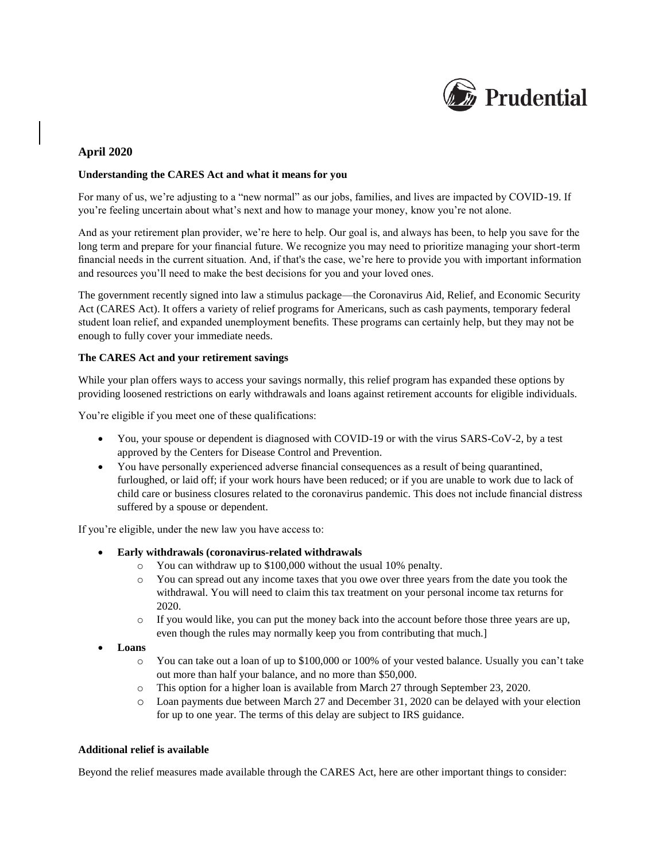

# **April 2020**

#### **Understanding the CARES Act and what it means for you**

For many of us, we're adjusting to a "new normal" as our jobs, families, and lives are impacted by COVID-19. If you're feeling uncertain about what's next and how to manage your money, know you're not alone.

And as your retirement plan provider, we're here to help. Our goal is, and always has been, to help you save for the long term and prepare for your financial future. We recognize you may need to prioritize managing your short-term financial needs in the current situation. And, if that's the case, we're here to provide you with important information and resources you'll need to make the best decisions for you and your loved ones.

The government recently signed into law a stimulus package—the Coronavirus Aid, Relief, and Economic Security Act (CARES Act). It offers a variety of relief programs for Americans, such as cash payments, temporary federal student loan relief, and expanded unemployment benefits. These programs can certainly help, but they may not be enough to fully cover your immediate needs.

#### **The CARES Act and your retirement savings**

While your plan offers ways to access your savings normally, this relief program has expanded these options by providing loosened restrictions on early withdrawals and loans against retirement accounts for eligible individuals.

You're eligible if you meet one of these qualifications:

- You, your spouse or dependent is diagnosed with COVID-19 or with the virus SARS-CoV-2, by a test approved by the Centers for Disease Control and Prevention.
- You have personally experienced adverse financial consequences as a result of being quarantined, furloughed, or laid off; if your work hours have been reduced; or if you are unable to work due to lack of child care or business closures related to the coronavirus pandemic. This does not include financial distress suffered by a spouse or dependent.

If you're eligible, under the new law you have access to:

- **Early withdrawals (coronavirus-related withdrawals**
	- o You can withdraw up to \$100,000 without the usual 10% penalty.
	- o You can spread out any income taxes that you owe over three years from the date you took the withdrawal. You will need to claim this tax treatment on your personal income tax returns for 2020.
	- $\circ$  If you would like, you can put the money back into the account before those three years are up, even though the rules may normally keep you from contributing that much.]
- **Loans**
	- o You can take out a loan of up to \$100,000 or 100% of your vested balance. Usually you can't take out more than half your balance, and no more than \$50,000.
	- o This option for a higher loan is available from March 27 through September 23, 2020.
	- o Loan payments due between March 27 and December 31, 2020 can be delayed with your election for up to one year. The terms of this delay are subject to IRS guidance.

#### **Additional relief is available**

Beyond the relief measures made available through the CARES Act, here are other important things to consider: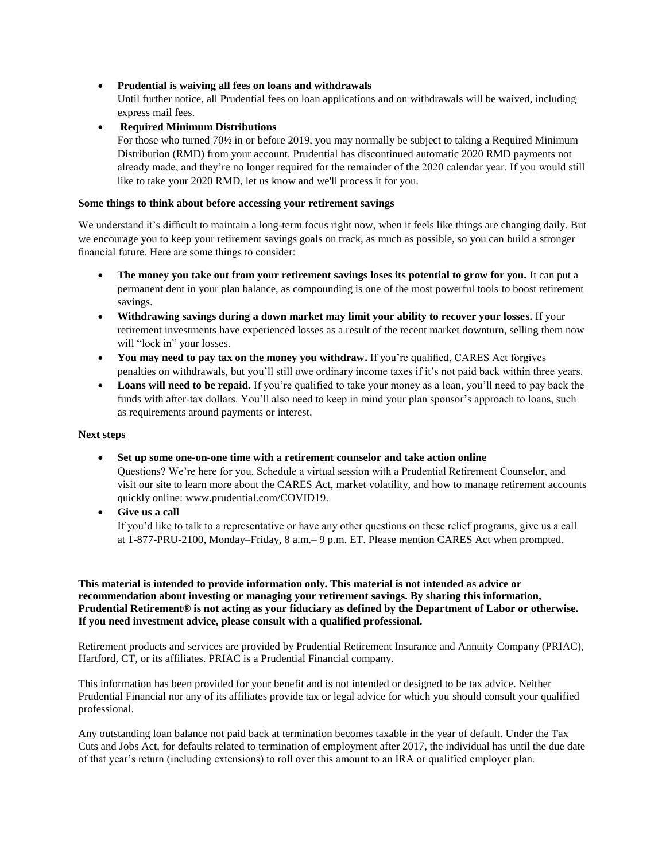## • **Prudential is waiving all fees on loans and withdrawals**

Until further notice, all Prudential fees on loan applications and on withdrawals will be waived, including express mail fees.

## • **Required Minimum Distributions**

For those who turned 70½ in or before 2019, you may normally be subject to taking a Required Minimum Distribution (RMD) from your account. Prudential has discontinued automatic 2020 RMD payments not already made, and they're no longer required for the remainder of the 2020 calendar year. If you would still like to take your 2020 RMD, let us know and we'll process it for you.

### **Some things to think about before accessing your retirement savings**

We understand it's difficult to maintain a long-term focus right now, when it feels like things are changing daily. But we encourage you to keep your retirement savings goals on track, as much as possible, so you can build a stronger financial future. Here are some things to consider:

- **The money you take out from your retirement savings loses its potential to grow for you.** It can put a permanent dent in your plan balance, as compounding is one of the most powerful tools to boost retirement savings.
- **Withdrawing savings during a down market may limit your ability to recover your losses.** If your retirement investments have experienced losses as a result of the recent market downturn, selling them now will "lock in" your losses.
- You may need to pay tax on the money you withdraw. If you're qualified, CARES Act forgives penalties on withdrawals, but you'll still owe ordinary income taxes if it's not paid back within three years.
- Loans will need to be repaid. If you're qualified to take your money as a loan, you'll need to pay back the funds with after-tax dollars. You'll also need to keep in mind your plan sponsor's approach to loans, such as requirements around payments or interest.

## **Next steps**

• **Set up some one-on-one time with a retirement counselor and take action online**

Questions? We're here for you. Schedule a virtual session with a Prudential Retirement Counselor, and visit our site to learn more about the CARES Act, market volatility, and how to manage retirement accounts quickly online: [www.prudential.com/COVID19.](http://www.prudential.com/COVID19)

• **Give us a call**

If you'd like to talk to a representative or have any other questions on these relief programs, give us a call at 1-877-PRU-2100, Monday–Friday, 8 a.m.– 9 p.m. ET. Please mention CARES Act when prompted.

**This material is intended to provide information only. This material is not intended as advice or recommendation about investing or managing your retirement savings. By sharing this information, Prudential Retirement® is not acting as your fiduciary as defined by the Department of Labor or otherwise. If you need investment advice, please consult with a qualified professional.** 

Retirement products and services are provided by Prudential Retirement Insurance and Annuity Company (PRIAC), Hartford, CT, or its affiliates. PRIAC is a Prudential Financial company.

This information has been provided for your benefit and is not intended or designed to be tax advice. Neither Prudential Financial nor any of its affiliates provide tax or legal advice for which you should consult your qualified professional.

Any outstanding loan balance not paid back at termination becomes taxable in the year of default. Under the Tax Cuts and Jobs Act, for defaults related to termination of employment after 2017, the individual has until the due date of that year's return (including extensions) to roll over this amount to an IRA or qualified employer plan.